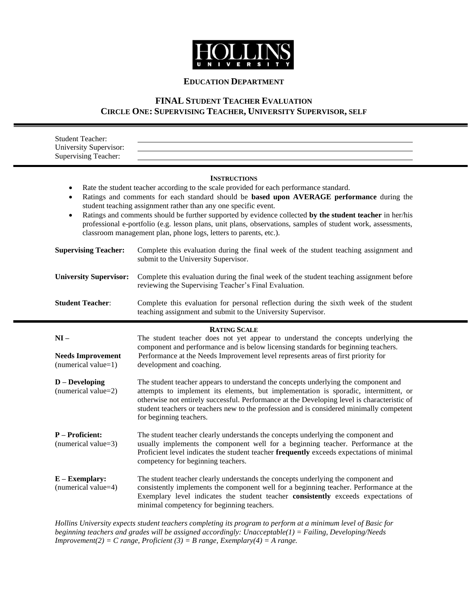

## **EDUCATION DEPARTMENT**

# **FINAL STUDENT TEACHER EVALUATION CIRCLE ONE: SUPERVISING TEACHER, UNIVERSITY SUPERVISOR, SELF**

| <b>Student Teacher:</b><br>University Supervisor:<br>Supervising Teacher: |                                                                                                                                                                                                                                                                                                                                                                                                                                                                                                                                                                                  |
|---------------------------------------------------------------------------|----------------------------------------------------------------------------------------------------------------------------------------------------------------------------------------------------------------------------------------------------------------------------------------------------------------------------------------------------------------------------------------------------------------------------------------------------------------------------------------------------------------------------------------------------------------------------------|
| $\bullet$<br>$\bullet$<br>$\bullet$                                       | <b>INSTRUCTIONS</b><br>Rate the student teacher according to the scale provided for each performance standard.<br>Ratings and comments for each standard should be based upon AVERAGE performance during the<br>student teaching assignment rather than any one specific event.<br>Ratings and comments should be further supported by evidence collected by the student teacher in her/his<br>professional e-portfolio (e.g. lesson plans, unit plans, observations, samples of student work, assessments,<br>classroom management plan, phone logs, letters to parents, etc.). |
| <b>Supervising Teacher:</b>                                               | Complete this evaluation during the final week of the student teaching assignment and<br>submit to the University Supervisor.                                                                                                                                                                                                                                                                                                                                                                                                                                                    |
| <b>University Supervisor:</b>                                             | Complete this evaluation during the final week of the student teaching assignment before<br>reviewing the Supervising Teacher's Final Evaluation.                                                                                                                                                                                                                                                                                                                                                                                                                                |
| <b>Student Teacher:</b>                                                   | Complete this evaluation for personal reflection during the sixth week of the student<br>teaching assignment and submit to the University Supervisor.                                                                                                                                                                                                                                                                                                                                                                                                                            |
|                                                                           |                                                                                                                                                                                                                                                                                                                                                                                                                                                                                                                                                                                  |
| $NI -$<br><b>Needs Improvement</b><br>(numerical value=1)                 | <b>RATING SCALE</b><br>The student teacher does not yet appear to understand the concepts underlying the<br>component and performance and is below licensing standards for beginning teachers.<br>Performance at the Needs Improvement level represents areas of first priority for<br>development and coaching.                                                                                                                                                                                                                                                                 |
| $D - Developing$<br>(numerical value=2)                                   | The student teacher appears to understand the concepts underlying the component and<br>attempts to implement its elements, but implementation is sporadic, intermittent, or<br>otherwise not entirely successful. Performance at the Developing level is characteristic of<br>student teachers or teachers new to the profession and is considered minimally competent<br>for beginning teachers.                                                                                                                                                                                |
| <b>P</b> – Proficient:<br>(numerical value=3)                             | The student teacher clearly understands the concepts underlying the component and<br>usually implements the component well for a beginning teacher. Performance at the<br>Proficient level indicates the student teacher frequently exceeds expectations of minimal<br>competency for beginning teachers.                                                                                                                                                                                                                                                                        |

*Hollins University expects student teachers completing its program to perform at a minimum level of Basic for beginning teachers and grades will be assigned accordingly: Unacceptable(1) = Failing, Developing/Needs Improvement(2) = C range, Proficient (3) = B range, Exemplary(4) = A range.*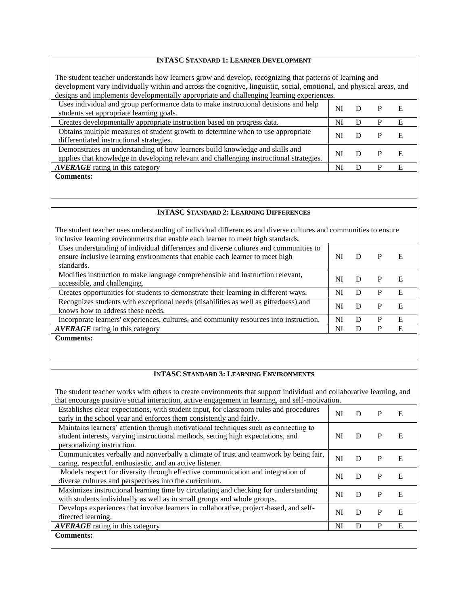## **INTASC STANDARD 1: LEARNER DEVELOPMENT**

The student teacher understands how learners grow and develop, recognizing that patterns of learning and development vary individually within and across the cognitive, linguistic, social, emotional, and physical areas, and designs and implements developmentally appropriate and challenging learning experiences.

| Uses individual and group performance data to make instructional decisions and help<br>students set appropriate learning goals.                                         | NI |  |   |
|-------------------------------------------------------------------------------------------------------------------------------------------------------------------------|----|--|---|
| Creates developmentally appropriate instruction based on progress data.                                                                                                 | NI |  | E |
| Obtains multiple measures of student growth to determine when to use appropriate<br>differentiated instructional strategies.                                            | NI |  |   |
| Demonstrates an understanding of how learners build knowledge and skills and<br>applies that knowledge in developing relevant and challenging instructional strategies. | NI |  |   |
| <b>AVERAGE</b> rating in this category                                                                                                                                  | NI |  | E |
| <b>Comments:</b>                                                                                                                                                        |    |  |   |

#### **INTASC STANDARD 2: LEARNING DIFFERENCES**

The student teacher uses understanding of individual differences and diverse cultures and communities to ensure inclusive learning environments that enable each learner to meet high standards.

| Uses understanding of individual differences and diverse cultures and communities to<br>ensure inclusive learning environments that enable each learner to meet high<br>standards. | NI | D | Е |  |
|------------------------------------------------------------------------------------------------------------------------------------------------------------------------------------|----|---|---|--|
| Modifies instruction to make language comprehensible and instruction relevant,<br>accessible, and challenging.                                                                     | NI |   | E |  |
| Creates opportunities for students to demonstrate their learning in different ways.                                                                                                | NI | D | E |  |
| Recognizes students with exceptional needs (disabilities as well as giftedness) and<br>knows how to address these needs.                                                           | NI | D | E |  |
| Incorporate learners' experiences, cultures, and community resources into instruction.                                                                                             | NI | Ð | E |  |
| <b>AVERAGE</b> rating in this category                                                                                                                                             | NI |   | E |  |
|                                                                                                                                                                                    |    |   |   |  |

**Comments:**

## **INTASC STANDARD 3: LEARNING ENVIRONMENTS**

The student teacher works with others to create environments that support individual and collaborative learning, and that encourage positive social interaction, active engagement in learning, and self-motivation.

| Establishes clear expectations, with student input, for classroom rules and procedures<br>early in the school year and enforces them consistently and fairly.                                         | NI | D | P | E |  |
|-------------------------------------------------------------------------------------------------------------------------------------------------------------------------------------------------------|----|---|---|---|--|
| Maintains learners' attention through motivational techniques such as connecting to<br>student interests, varying instructional methods, setting high expectations, and<br>personalizing instruction. | NI | D | P | E |  |
| Communicates verbally and nonverbally a climate of trust and teamwork by being fair,<br>caring, respectful, enthusiastic, and an active listener.                                                     | NI | D | P | E |  |
| Models respect for diversity through effective communication and integration of<br>diverse cultures and perspectives into the curriculum.                                                             | NI | D | P | E |  |
| Maximizes instructional learning time by circulating and checking for understanding<br>with students individually as well as in small groups and whole groups.                                        | NI | D | P | E |  |
| Develops experiences that involve learners in collaborative, project-based, and self-<br>directed learning.                                                                                           | NI | D | P | E |  |
| <b>AVERAGE</b> rating in this category                                                                                                                                                                | NI | D | P | E |  |
| <b>Comments:</b>                                                                                                                                                                                      |    |   |   |   |  |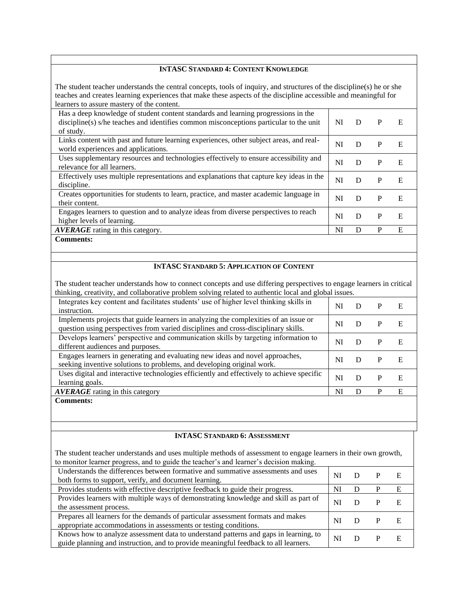#### **INTASC STANDARD 4: CONTENT KNOWLEDGE**

The student teacher understands the central concepts, tools of inquiry, and structures of the discipline(s) he or she teaches and creates learning experiences that make these aspects of the discipline accessible and meaningful for learners to assure mastery of the content.

| Has a deep knowledge of student content standards and learning progressions in the<br>discipline(s) s/he teaches and identifies common misconceptions particular to the unit<br>of study. | NI | D | P | E |  |
|-------------------------------------------------------------------------------------------------------------------------------------------------------------------------------------------|----|---|---|---|--|
| Links content with past and future learning experiences, other subject areas, and real-<br>world experiences and applications.                                                            | NI | D | P | E |  |
| Uses supplementary resources and technologies effectively to ensure accessibility and<br>relevance for all learners.                                                                      | NI | D | P | E |  |
| Effectively uses multiple representations and explanations that capture key ideas in the<br>discipline.                                                                                   | NI | D | P | E |  |
| Creates opportunities for students to learn, practice, and master academic language in<br>their content.                                                                                  | NI | D | P | E |  |
| Engages learners to question and to analyze ideas from diverse perspectives to reach<br>higher levels of learning.                                                                        | NI | D | P | E |  |
| <b>AVERAGE</b> rating in this category.                                                                                                                                                   | NI | D | P | E |  |
| <b>Comments:</b>                                                                                                                                                                          |    |   |   |   |  |

#### **INTASC STANDARD 5: APPLICATION OF CONTENT**

The student teacher understands how to connect concepts and use differing perspectives to engage learners in critical thinking, creativity, and collaborative problem solving related to authentic local and global issues.

| Integrates key content and facilitates students' use of higher level thinking skills in<br>instruction.                                                                    | NI |   | E |  |
|----------------------------------------------------------------------------------------------------------------------------------------------------------------------------|----|---|---|--|
| Implements projects that guide learners in analyzing the complexities of an issue or<br>question using perspectives from varied disciplines and cross-disciplinary skills. | NI |   | F |  |
| Develops learners' perspective and communication skills by targeting information to<br>different audiences and purposes.                                                   | NI | Ð | E |  |
| Engages learners in generating and evaluating new ideas and novel approaches,<br>seeking inventive solutions to problems, and developing original work.                    | NI | Ð | E |  |
| Uses digital and interactive technologies efficiently and effectively to achieve specific<br>learning goals.                                                               | Nl |   | E |  |
| <b>AVERAGE</b> rating in this category                                                                                                                                     | N  |   | E |  |
| <b>Comments:</b>                                                                                                                                                           |    |   |   |  |

#### **INTASC STANDARD 6: ASSESSMENT**

The student teacher understands and uses multiple methods of assessment to engage learners in their own growth, to monitor learner progress, and to guide the teacher's and learner's decision making.

| Understands the differences between formative and summative assessments and uses<br>both forms to support, verify, and document learning.                                   | Nl |  |   |  |
|-----------------------------------------------------------------------------------------------------------------------------------------------------------------------------|----|--|---|--|
| Provides students with effective descriptive feedback to guide their progress.                                                                                              | NI |  | Е |  |
| Provides learners with multiple ways of demonstrating knowledge and skill as part of<br>the assessment process.                                                             | Nì |  |   |  |
| Prepares all learners for the demands of particular assessment formats and makes<br>appropriate accommodations in assessments or testing conditions.                        | NI |  |   |  |
| Knows how to analyze assessment data to understand patterns and gaps in learning, to<br>guide planning and instruction, and to provide meaningful feedback to all learners. | NI |  |   |  |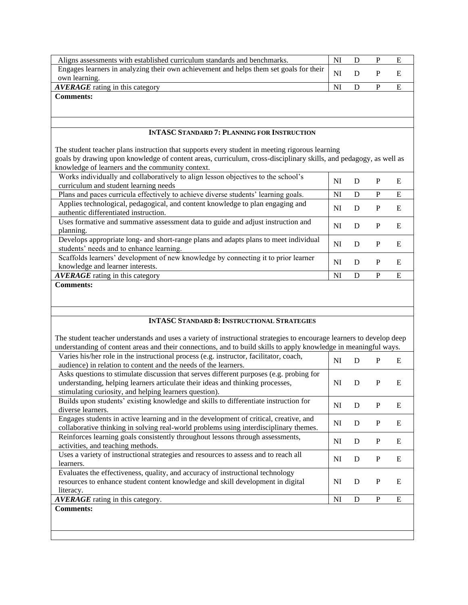| Aligns assessments with established curriculum standards and benchmarks.                                  | NI             |   |  |
|-----------------------------------------------------------------------------------------------------------|----------------|---|--|
| Engages learners in analyzing their own achievement and helps them set goals for their  <br>own learning. | $\overline{M}$ | P |  |
| <b>AVERAGE</b> rating in this category                                                                    | NI             |   |  |
| <b>Comments:</b>                                                                                          |                |   |  |

## **INTASC STANDARD 7: PLANNING FOR INSTRUCTION**

The student teacher plans instruction that supports every student in meeting rigorous learning goals by drawing upon knowledge of content areas, curriculum, cross-disciplinary skills, and pedagogy, as well as knowledge of learners and the community context.

| <u>knowledge</u> of fearners and the community content.                                                                          |    |   |   |   |  |
|----------------------------------------------------------------------------------------------------------------------------------|----|---|---|---|--|
| Works individually and collaboratively to align lesson objectives to the school's<br>curriculum and student learning needs       | NI | Ð | P | E |  |
| Plans and paces curricula effectively to achieve diverse students' learning goals.                                               | NI | D | P | E |  |
| Applies technological, pedagogical, and content knowledge to plan engaging and<br>authentic differentiated instruction.          | NI | D | P | E |  |
| Uses formative and summative assessment data to guide and adjust instruction and<br>planning.                                    | NI | Ð | P | E |  |
| Develops appropriate long- and short-range plans and adapts plans to meet individual<br>students' needs and to enhance learning. | NI | Ð | P | E |  |
| Scaffolds learners' development of new knowledge by connecting it to prior learner<br>knowledge and learner interests.           | NI | Ð | P | E |  |
| <b>AVERAGE</b> rating in this category                                                                                           | NI | Ð | P | E |  |
| <b>Comments:</b>                                                                                                                 |    |   |   |   |  |

**Comments:**

#### **INTASC STANDARD 8: INSTRUCTIONAL STRATEGIES**

The student teacher understands and uses a variety of instructional strategies to encourage learners to develop deep understanding of content areas and their connections, and to build skills to apply knowledge in meaningful ways.

| Varies his/her role in the instructional process (e.g. instructor, facilitator, coach,<br>audience) in relation to content and the needs of the learners.                                                                           | NI | D | P | E |
|-------------------------------------------------------------------------------------------------------------------------------------------------------------------------------------------------------------------------------------|----|---|---|---|
| Asks questions to stimulate discussion that serves different purposes (e.g. probing for<br>understanding, helping learners articulate their ideas and thinking processes,<br>stimulating curiosity, and helping learners question). | NI | D | P | Е |
| Builds upon students' existing knowledge and skills to differentiate instruction for<br>diverse learners.                                                                                                                           | NI | D | P | E |
| Engages students in active learning and in the development of critical, creative, and<br>collaborative thinking in solving real-world problems using interdisciplinary themes.                                                      | NI | D | P | E |
| Reinforces learning goals consistently throughout lessons through assessments,<br>activities, and teaching methods.                                                                                                                 | NI | D | P | E |
| Uses a variety of instructional strategies and resources to assess and to reach all<br>learners.                                                                                                                                    | NI | D | P | E |
| Evaluates the effectiveness, quality, and accuracy of instructional technology<br>resources to enhance student content knowledge and skill development in digital<br>literacy.                                                      | NI | D | P | Е |
| <b>AVERAGE</b> rating in this category.                                                                                                                                                                                             | NI | D | P | E |
| <b>Comments:</b>                                                                                                                                                                                                                    |    |   |   |   |